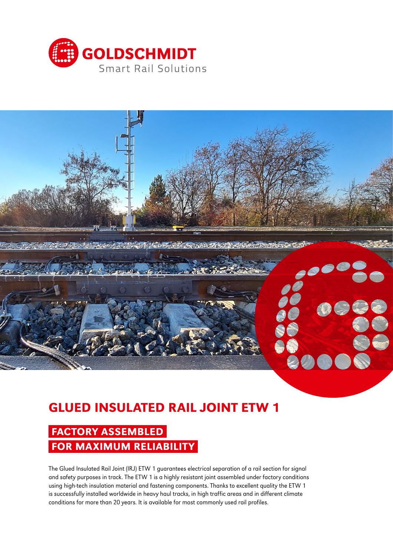



# GLUED INSULATED RAIL JOINT ETW 1

## FACTORY ASSEMBLED FOR MAXIMUM RELIABILITY

The Glued Insulated Rail Joint (IRJ) ETW 1 guarantees electrical separation of a rail section for signal and safety purposes in track. The ETW 1 is a highly resistant joint assembled under factory conditions using high-tech insulation material and fastening components. Thanks to excellent quality the ETW 1 is successfully installed worldwide in heavy haul tracks, in high traffic areas and in different climate conditions for more than 20 years. It is available for most commonly used rail profiles.